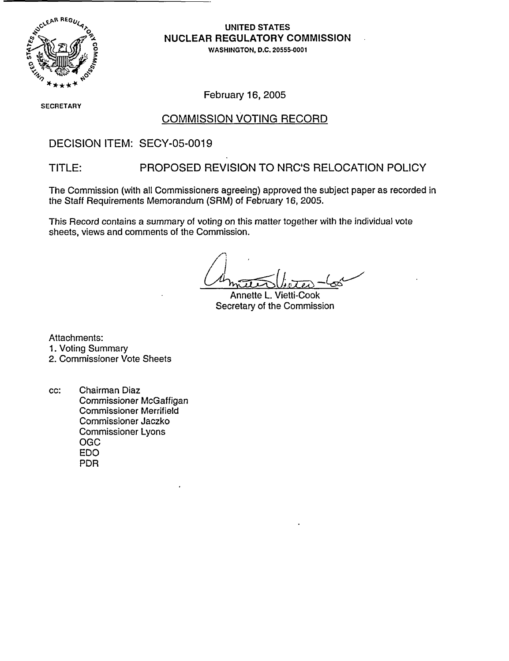

UNITED STATES **NUCLEAR REGULATORY COMMISSION**

,W WASHINGTON, D.C. 20555-0001

**Si** ECRETARY

February 16, 2005

## COMMISSION VOTING RECORD

## DECISION ITEM: SECY-05-0019

## TITLE: PROPOSED REVISION TO NRC'S RELOCATION POLICY

The Commission (with all Commissioners agreeing) approved the subject paper as recorded in the Staff Requirements Memorandum (SRM) of February 16, 2005.

This Record contains a summary of voting on this matter together with the individual vote sheets, views and comments of the Commission.

Annette L. Vietti-Cook Secretary of the Commission

Attachments:

1. Voting Summary

2. Commissioner Vote Sheets

cc: Chairman Diaz Commissioner McGaffigan Commissioner Merrifield Commissioner Jaczko Commissioner Lyons OGC EDO PDR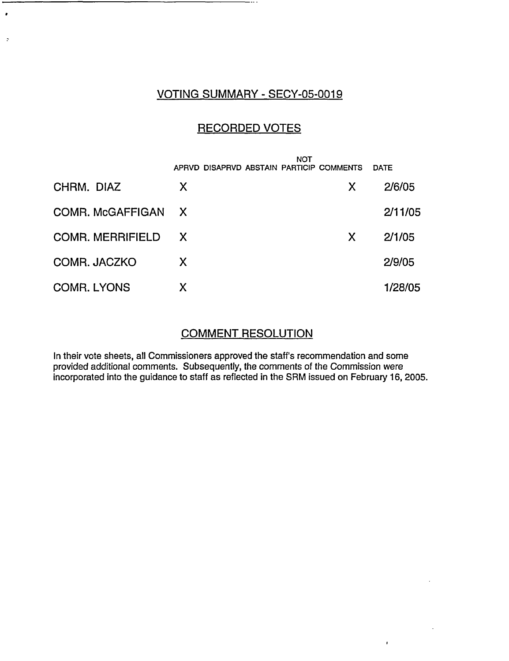## VOTING SUMMARY - SECY-05-0019

 $\cdot$ 

 $\cdot$ 

# RECORDED VOTES

|                         | <b>NOT</b><br>APRVD DISAPRVD ABSTAIN PARTICIP COMMENTS |    | <b>DATE</b> |
|-------------------------|--------------------------------------------------------|----|-------------|
| CHRM. DIAZ              | X                                                      | X. | 2/6/05      |
| <b>COMR. McGAFFIGAN</b> | $\mathsf{X}$                                           |    | 2/11/05     |
| COMR. MERRIFIELD X      |                                                        | X. | 2/1/05      |
| COMR. JACZKO            | X                                                      |    | 2/9/05      |
| <b>COMR. LYONS</b>      | Х                                                      |    | 1/28/05     |

#### COMMENT RESOLUTION

In their vote sheets, all Commissioners approved the staff's recommendation and some provided additional comments. Subsequently, the comments of the Commission were incorporated into the guidance to staff as reflected in the SRM issued on February 16, 2005.

 $\mathbf{r}$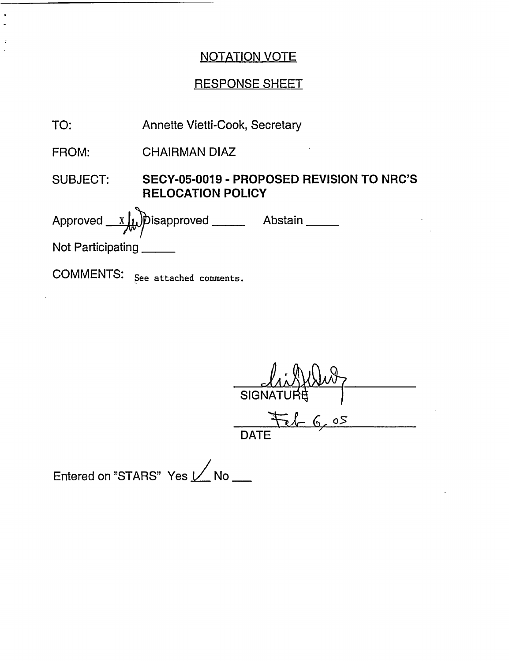## RESPONSE SHEET

| <b>Annette Vietti-Cook, Secretary</b> |
|---------------------------------------|
|                                       |

FROM: CHAIRMAN DIAZ

SUBJECT: **SECY-05-0019 - PROPOSED REVISION TO NRC'S RELOCATION POLICY**

Approved \_sapproved Abstain Not Participating

COMMENTS: See attached comments.

 $S$ IGN *SE 6 , 0*

**DATE** 

Entered on "STARS" Yes  $\nu$  No \_\_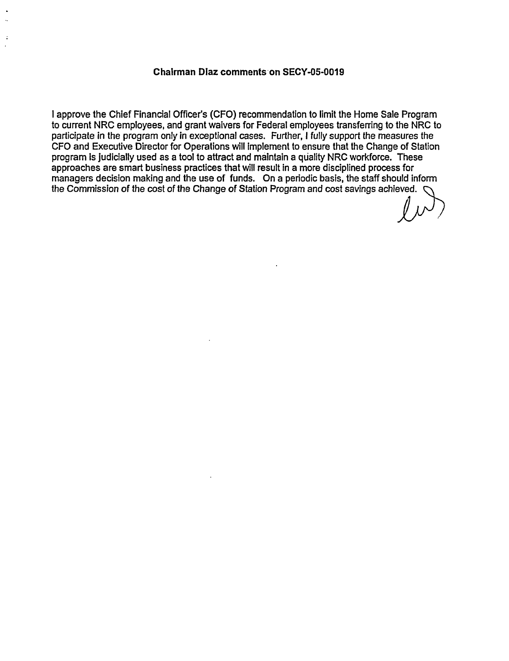#### **Chairman Dlaz comments on SECY-05-0019**

I approve the Chief Financial Officer's (CFO) recommendation to limit the Home Sale Program to current NRC employees, and grant waivers for Federal employees transferring to the NRC to participate in the program only in exceptional cases. Further, I fully support the measures the CFO and Executive Director for Operations will Implement to ensure that the Change of Station program is judicially used as a tool to attract and maintain a quality NRC workforce. These approaches are smart business practices that will result in a more disciplined process for managers decision making and the use of funds. On a periodic basis, the staff should inform the Commission of the cost of the Change of Station Program and cost savings achieved.

 $\mathcal{L}^{\rho}$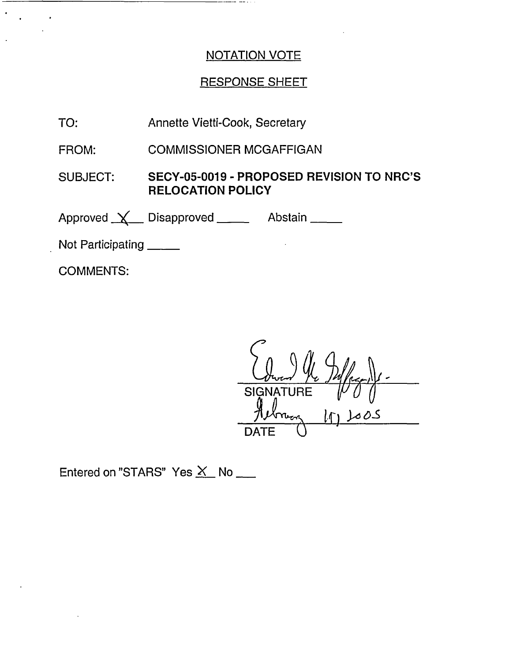# **RESPONSE SHEET**

TO: Annette Vietti-Cook, Secretary

FROM: **COMMISSIONER MCGAFFIGAN** 

**SUBJECT:** SECY-05-0019 - PROPOSED REVISION TO NRC'S **RELOCATION POLICY** 

Approved <u>X</u> Disapproved Abstain \_\_\_

Not Participating

**COMMENTS:** 

**SIGNA DATE** 

Entered on "STARS" Yes X No \_\_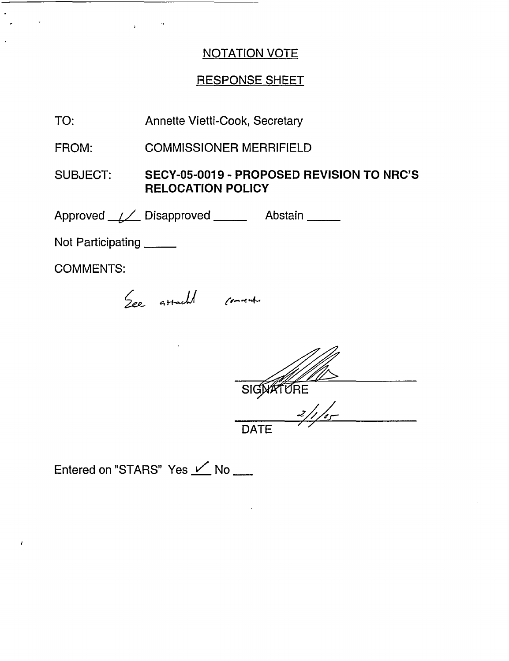# RESPONSE SHEET

TO: Annette Vietti-Cook, Secretary

FROM: COMMISSIONER MERRIFIELD

SUBJECT: **SECY-05-0019 - PROPOSED REVISION TO NRC'S RELOCATION POLICY**

Approved <u>(Andrei Disapproved</u> Communication

Not Participating \_\_\_\_\_

COMMENTS:

I

See attacht convent.

SIGNATURE <u>2/1/05</u>

**DATE** 

Entered on "STARS" Yes  $\angle$  No \_\_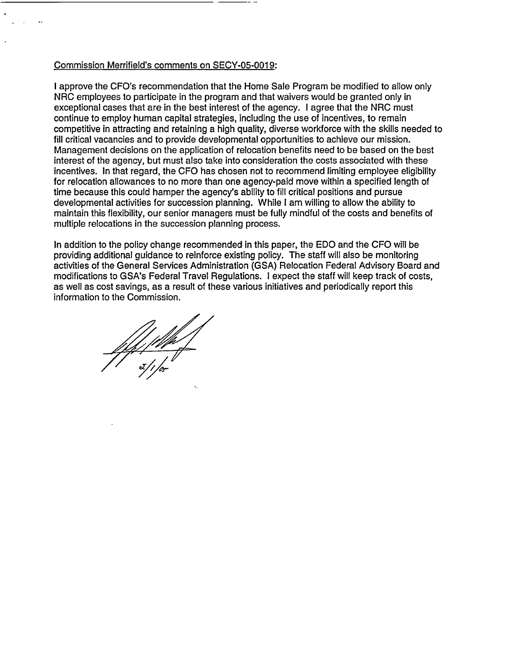#### Commission Merrifield's comments on SECY-05-0019:

I approve the CFO's recommendation that the Home Sale Program be modified to allow only NRC employees to participate in the program and that waivers would be granted only in exceptional cases that are in the best interest of the agency. I agree that the NRC must continue to employ human capital strategies, including the use of incentives, to remain competitive in attracting and retaining a high quality, diverse workforce with the skills needed to fill critical vacancies and to provide developmental opportunities to achieve our mission. Management decisions on the application of relocation benefits need to be based on the best interest of the agency, but must also take into consideration the costs associated with these incentives. In that regard, the CFO has chosen not to recommend limiting employee eligibility for relocation allowances to no more than one agency-paid move within a specified length of time because this could hamper the agency's ability to fill critical positions and pursue developmental activities for succession planning. While I am willing to allow the ability to maintain this flexibility, our senior managers must be fully mindful of the costs and benefits of multiple relocations in the succession planning process.

In addition to the policy change recommended in this paper, the EDO and the CFO will be providing additional guidance to reinforce existing policy. The staff will also be monitoring activities of the General Services Administration (GSA) Relocation Federal Advisory Board and modifications to GSA's Federal Travel Regulations. I expect the staff will keep track of costs, as well as cost savings, as a result of these various initiatives and periodically report this information to the Commission.

///////<br>s//or<br>s//or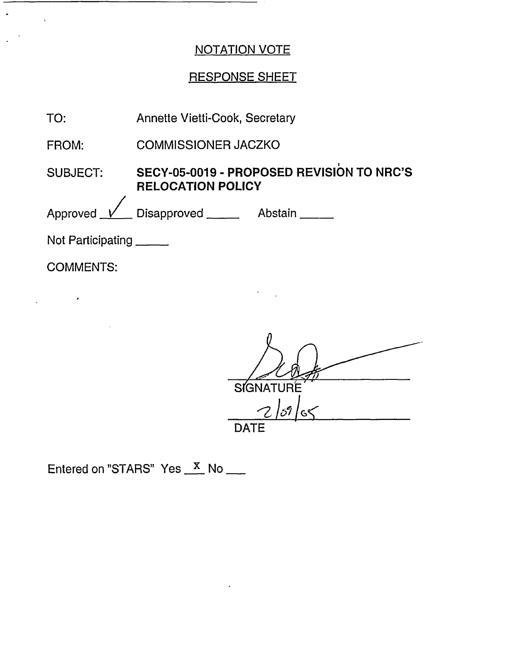# **RESPONSE SHEET**

| TO:                      | Annette Vietti-Cook, Secretary                                        |  |  |
|--------------------------|-----------------------------------------------------------------------|--|--|
| FROM:                    | <b>COMMISSIONER JACZKO</b>                                            |  |  |
| SUBJECT:                 | SECY-05-0019 - PROPOSED REVISION TO NRC'S<br><b>RELOCATION POLICY</b> |  |  |
|                          | Approved <u>V</u> Disapproved Abstain                                 |  |  |
| Not Participating ______ |                                                                       |  |  |

 $\mathcal{L}$ 

**COMMENTS:** 

 $\label{eq:2.1} \frac{1}{2} \int_{\mathbb{R}^3} \left| \frac{d\mathbf{x}}{d\mathbf{x}} \right|^2 \, d\mathbf{x} \, d\mathbf{x} \, d\mathbf{x} \, d\mathbf{x} \, d\mathbf{x} \, d\mathbf{x} \, d\mathbf{x} \, d\mathbf{x} \, d\mathbf{x} \, d\mathbf{x} \, d\mathbf{x} \, d\mathbf{x} \, d\mathbf{x} \, d\mathbf{x} \, d\mathbf{x} \, d\mathbf{x} \, d\mathbf{x} \, d\mathbf{x} \, d\mathbf{x} \, d\mathbf{x} \, d\mathbf{x} \$ 

 $\ddot{\phantom{a}}$ 

 $\mathcal{L}^{\mathcal{L}}$ 

SIGNATURE  $2|59|$ 65 **DATE** 

Entered on "STARS" Yes <u>X</u> No \_\_\_